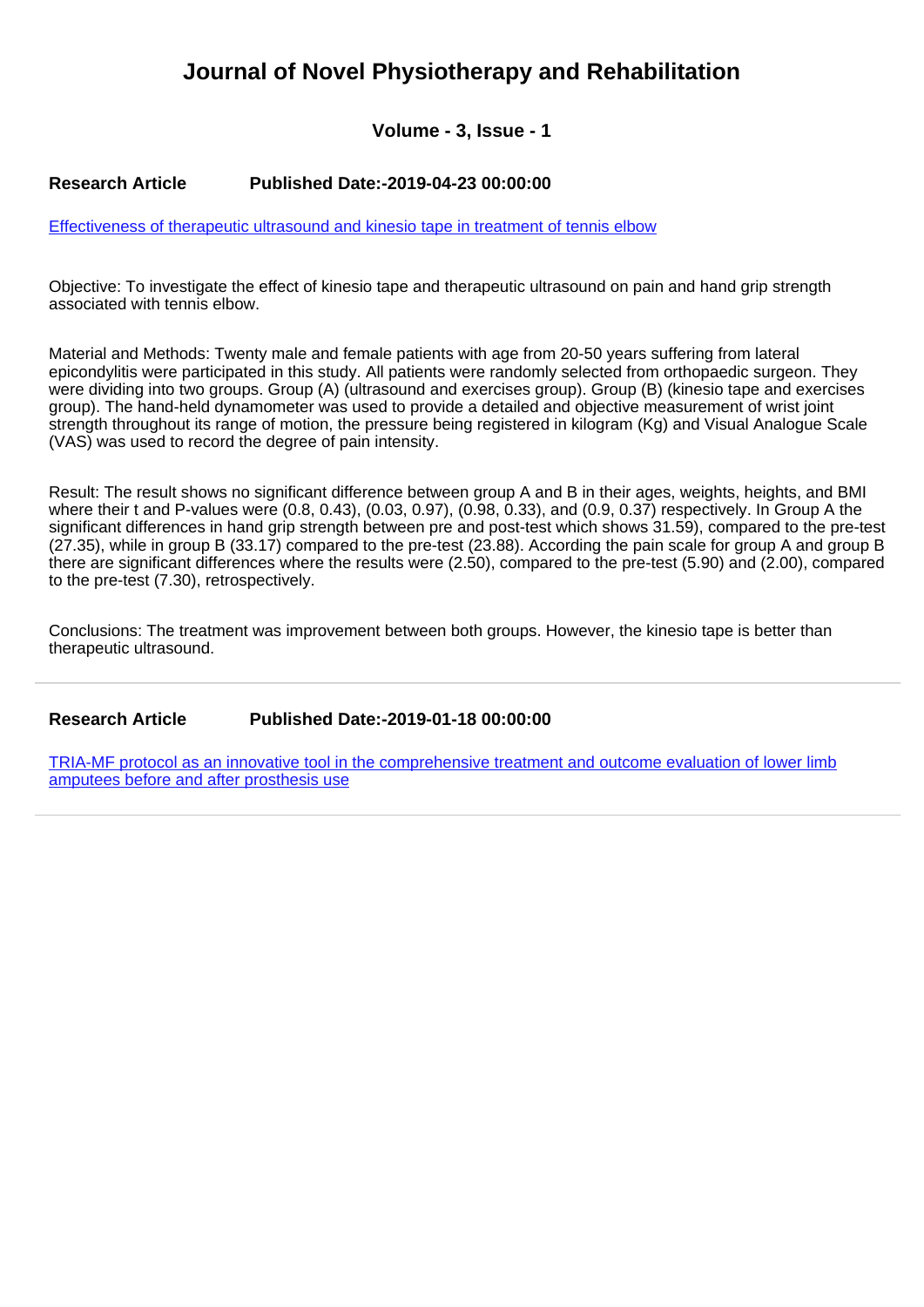## **Journal of Novel Physiotherapy and Rehabilitation**

**Volume - 3, Issue - 1**

## **Research Article Published Date:-2019-04-23 00:00:00**

[Effectiveness of therapeutic ultrasound and kinesio tape in treatment of tennis elbow](https://www.rehabilityjournal.com/articles/jnpr-aid1025.pdf)

Objective: To investigate the effect of kinesio tape and therapeutic ultrasound on pain and hand grip strength associated with tennis elbow.

Material and Methods: Twenty male and female patients with age from 20-50 years suffering from lateral epicondylitis were participated in this study. All patients were randomly selected from orthopaedic surgeon. They were dividing into two groups. Group (A) (ultrasound and exercises group). Group (B) (kinesio tape and exercises group). The hand-held dynamometer was used to provide a detailed and objective measurement of wrist joint strength throughout its range of motion, the pressure being registered in kilogram (Kg) and Visual Analogue Scale (VAS) was used to record the degree of pain intensity.

Result: The result shows no significant difference between group A and B in their ages, weights, heights, and BMI where their t and P-values were (0.8, 0.43), (0.03, 0.97), (0.98, 0.33), and (0.9, 0.37) respectively. In Group A the significant differences in hand grip strength between pre and post-test which shows 31.59), compared to the pre-test (27.35), while in group B (33.17) compared to the pre-test (23.88). According the pain scale for group A and group B there are significant differences where the results were (2.50), compared to the pre-test (5.90) and (2.00), compared to the pre-test (7.30), retrospectively.

Conclusions: The treatment was improvement between both groups. However, the kinesio tape is better than therapeutic ultrasound.

**Research Article Published Date:-2019-01-18 00:00:00**

[TRIA-MF protocol as an innovative tool in the comprehensive treatment and outcome evaluation of lower limb](https://www.rehabilityjournal.com/articles/jnpr-aid1024.pdf) [amputees before and after prosthesis use](https://www.rehabilityjournal.com/articles/jnpr-aid1024.pdf)